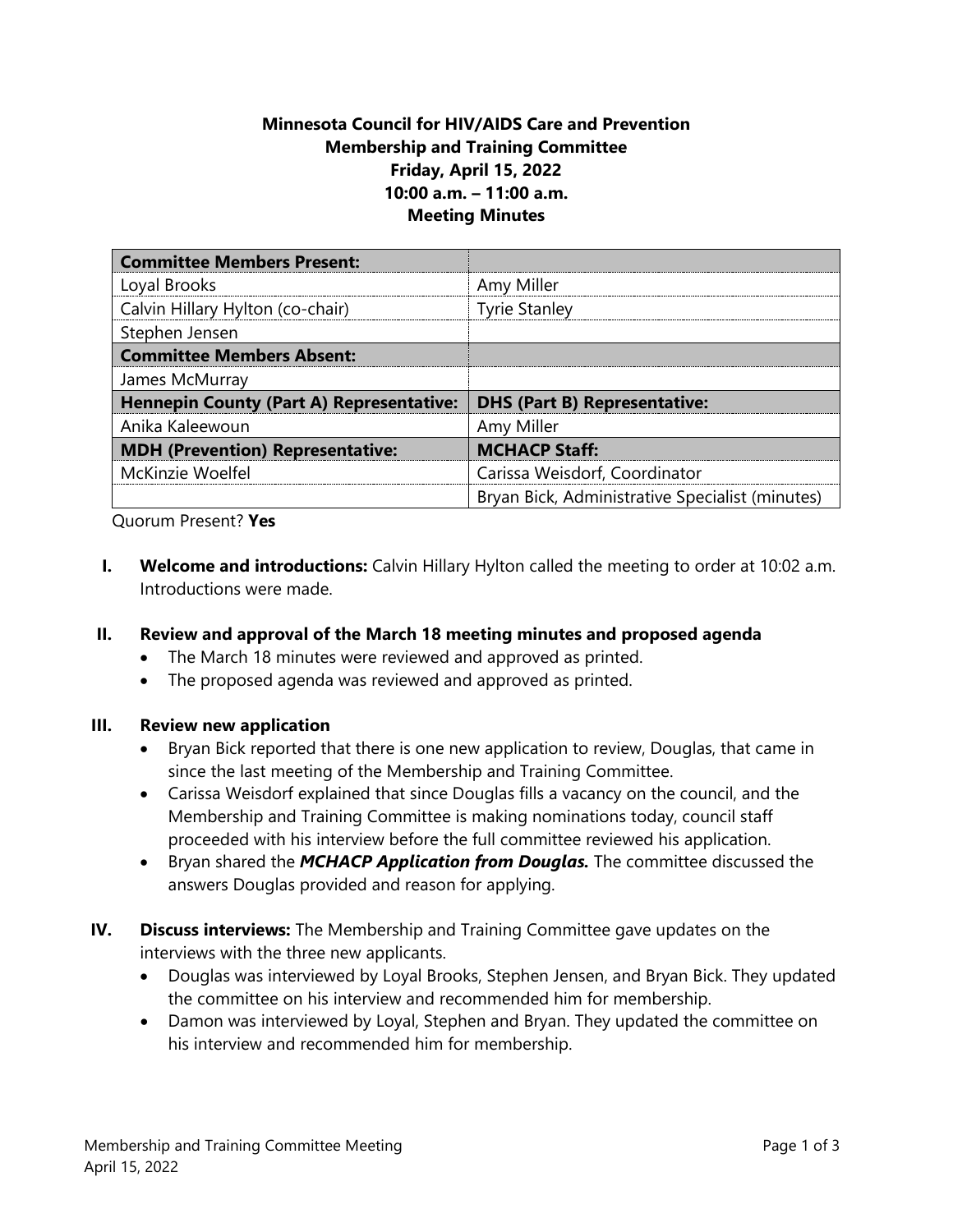# **Minnesota Council for HIV/AIDS Care and Prevention Membership and Training Committee Friday, April 15, 2022 10:00 a.m. – 11:00 a.m. Meeting Minutes**

| <b>Committee Members Present:</b>               |                                                 |
|-------------------------------------------------|-------------------------------------------------|
| Loyal Brooks                                    | Amy Miller                                      |
| Calvin Hillary Hylton (co-chair)                | <b>Tyrie Stanley</b>                            |
| Stephen Jensen                                  |                                                 |
| <b>Committee Members Absent:</b>                |                                                 |
| James McMurray                                  |                                                 |
| <b>Hennepin County (Part A) Representative:</b> | <b>DHS (Part B) Representative:</b>             |
| Anika Kaleewoun                                 | Amy Miller                                      |
| <b>MDH (Prevention) Representative:</b>         | <b>MCHACP Staff:</b>                            |
| McKinzie Woelfel                                | Carissa Weisdorf, Coordinator                   |
|                                                 | Bryan Bick, Administrative Specialist (minutes) |

Quorum Present? **Yes**

- **I. Welcome and introductions:** Calvin Hillary Hylton called the meeting to order at 10:02 a.m. Introductions were made.
- **II. Review and approval of the March 18 meeting minutes and proposed agenda**
	- The March 18 minutes were reviewed and approved as printed.
	- The proposed agenda was reviewed and approved as printed.

#### **III. Review new application**

- Bryan Bick reported that there is one new application to review, Douglas, that came in since the last meeting of the Membership and Training Committee.
- Carissa Weisdorf explained that since Douglas fills a vacancy on the council, and the Membership and Training Committee is making nominations today, council staff proceeded with his interview before the full committee reviewed his application.
- Bryan shared the *MCHACP Application from Douglas.* The committee discussed the answers Douglas provided and reason for applying.
- **IV. Discuss interviews:** The Membership and Training Committee gave updates on the interviews with the three new applicants.
	- Douglas was interviewed by Loyal Brooks, Stephen Jensen, and Bryan Bick. They updated the committee on his interview and recommended him for membership.
	- Damon was interviewed by Loyal, Stephen and Bryan. They updated the committee on his interview and recommended him for membership.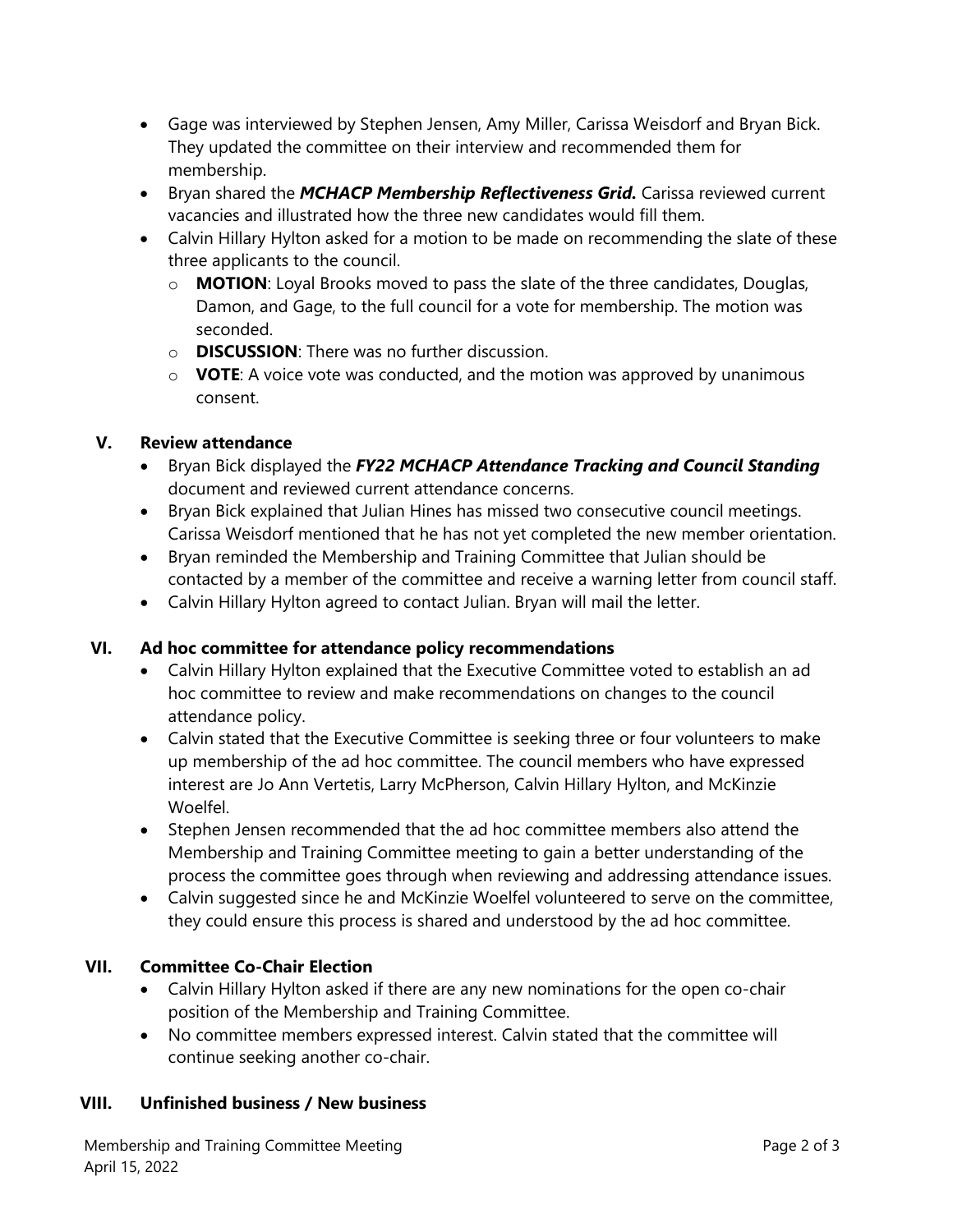- Gage was interviewed by Stephen Jensen, Amy Miller, Carissa Weisdorf and Bryan Bick. They updated the committee on their interview and recommended them for membership.
- Bryan shared the *MCHACP Membership Reflectiveness Grid.* Carissa reviewed current vacancies and illustrated how the three new candidates would fill them.
- Calvin Hillary Hylton asked for a motion to be made on recommending the slate of these three applicants to the council.
	- o **MOTION**: Loyal Brooks moved to pass the slate of the three candidates, Douglas, Damon, and Gage, to the full council for a vote for membership. The motion was seconded.
	- o **DISCUSSION**: There was no further discussion.
	- o **VOTE**: A voice vote was conducted, and the motion was approved by unanimous consent.

# **V. Review attendance**

- Bryan Bick displayed the *FY22 MCHACP Attendance Tracking and Council Standing* document and reviewed current attendance concerns.
- Bryan Bick explained that Julian Hines has missed two consecutive council meetings. Carissa Weisdorf mentioned that he has not yet completed the new member orientation.
- Bryan reminded the Membership and Training Committee that Julian should be contacted by a member of the committee and receive a warning letter from council staff.
- Calvin Hillary Hylton agreed to contact Julian. Bryan will mail the letter.

# **VI. Ad hoc committee for attendance policy recommendations**

- Calvin Hillary Hylton explained that the Executive Committee voted to establish an ad hoc committee to review and make recommendations on changes to the council attendance policy.
- Calvin stated that the Executive Committee is seeking three or four volunteers to make up membership of the ad hoc committee. The council members who have expressed interest are Jo Ann Vertetis, Larry McPherson, Calvin Hillary Hylton, and McKinzie Woelfel.
- Stephen Jensen recommended that the ad hoc committee members also attend the Membership and Training Committee meeting to gain a better understanding of the process the committee goes through when reviewing and addressing attendance issues.
- Calvin suggested since he and McKinzie Woelfel volunteered to serve on the committee, they could ensure this process is shared and understood by the ad hoc committee.

# **VII. Committee Co-Chair Election**

- Calvin Hillary Hylton asked if there are any new nominations for the open co-chair position of the Membership and Training Committee.
- No committee members expressed interest. Calvin stated that the committee will continue seeking another co-chair.

# **VIII. Unfinished business / New business**

Membership and Training Committee Meeting **Page 2 of 3** and 2 of 3 April 15, 2022